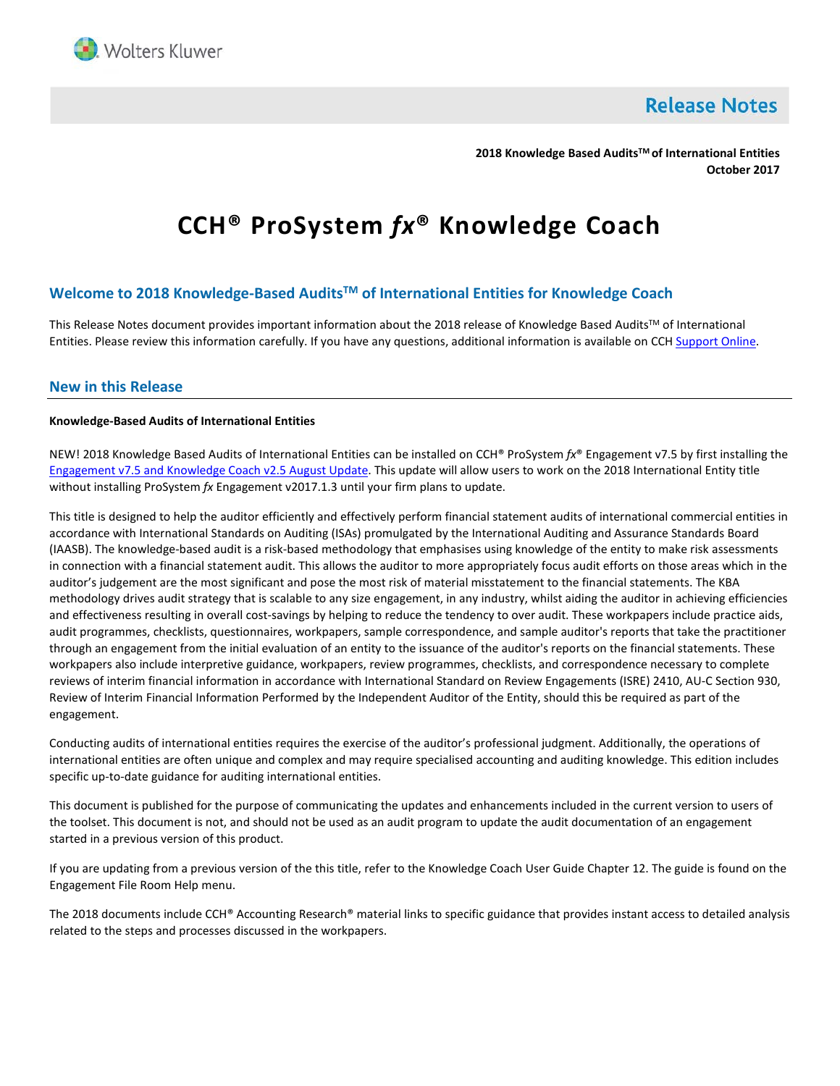

**Release Notes** 

**2018 Knowledge Based AuditsTM of International Entities October 2017**

# **CCH® ProSystem** *fx***® Knowledge Coach**

# **Welcome to 2018 Knowledge-Based AuditsTM of International Entities for Knowledge Coach**

This Release Notes document provides important information about the 2018 release of Knowledge Based Audits™ of International Entities. Please review this information carefully. If you have any questions, additional information is available on CCH [Support Online.](http://support.cch.com/productsupport/)

## **New in this Release**

#### **Knowledge-Based Audits of International Entities**

NEW! 2018 Knowledge Based Audits of International Entities can be installed on CCH® ProSystem *fx*® Engagement v7.5 by first installing the [Engagement v7.5 and](https://support.cch.com/updates/Engagement/patch75/patch75.aspx) Knowledge Coach v2.5 August Update. This update will allow users to work on the 2018 International Entity title without installing ProSystem *fx* Engagement v2017.1.3 until your firm plans to update.

This title is designed to help the auditor efficiently and effectively perform financial statement audits of international commercial entities in accordance with International Standards on Auditing (ISAs) promulgated by the International Auditing and Assurance Standards Board (IAASB). The knowledge-based audit is a risk-based methodology that emphasises using knowledge of the entity to make risk assessments in connection with a financial statement audit. This allows the auditor to more appropriately focus audit efforts on those areas which in the auditor's judgement are the most significant and pose the most risk of material misstatement to the financial statements. The KBA methodology drives audit strategy that is scalable to any size engagement, in any industry, whilst aiding the auditor in achieving efficiencies and effectiveness resulting in overall cost-savings by helping to reduce the tendency to over audit. These workpapers include practice aids, audit programmes, checklists, questionnaires, workpapers, sample correspondence, and sample auditor's reports that take the practitioner through an engagement from the initial evaluation of an entity to the issuance of the auditor's reports on the financial statements. These workpapers also include interpretive guidance, workpapers, review programmes, checklists, and correspondence necessary to complete reviews of interim financial information in accordance with International Standard on Review Engagements (ISRE) 2410, AU-C Section 930, Review of Interim Financial Information Performed by the Independent Auditor of the Entity, should this be required as part of the engagement.

Conducting audits of international entities requires the exercise of the auditor's professional judgment. Additionally, the operations of international entities are often unique and complex and may require specialised accounting and auditing knowledge. This edition includes specific up-to-date guidance for auditing international entities.

This document is published for the purpose of communicating the updates and enhancements included in the current version to users of the toolset. This document is not, and should not be used as an audit program to update the audit documentation of an engagement started in a previous version of this product.

If you are updating from a previous version of the this title, refer to the Knowledge Coach User Guide Chapter 12. The guide is found on the Engagement File Room Help menu.

The 2018 documents include CCH® Accounting Research® material links to specific guidance that provides instant access to detailed analysis related to the steps and processes discussed in the workpapers.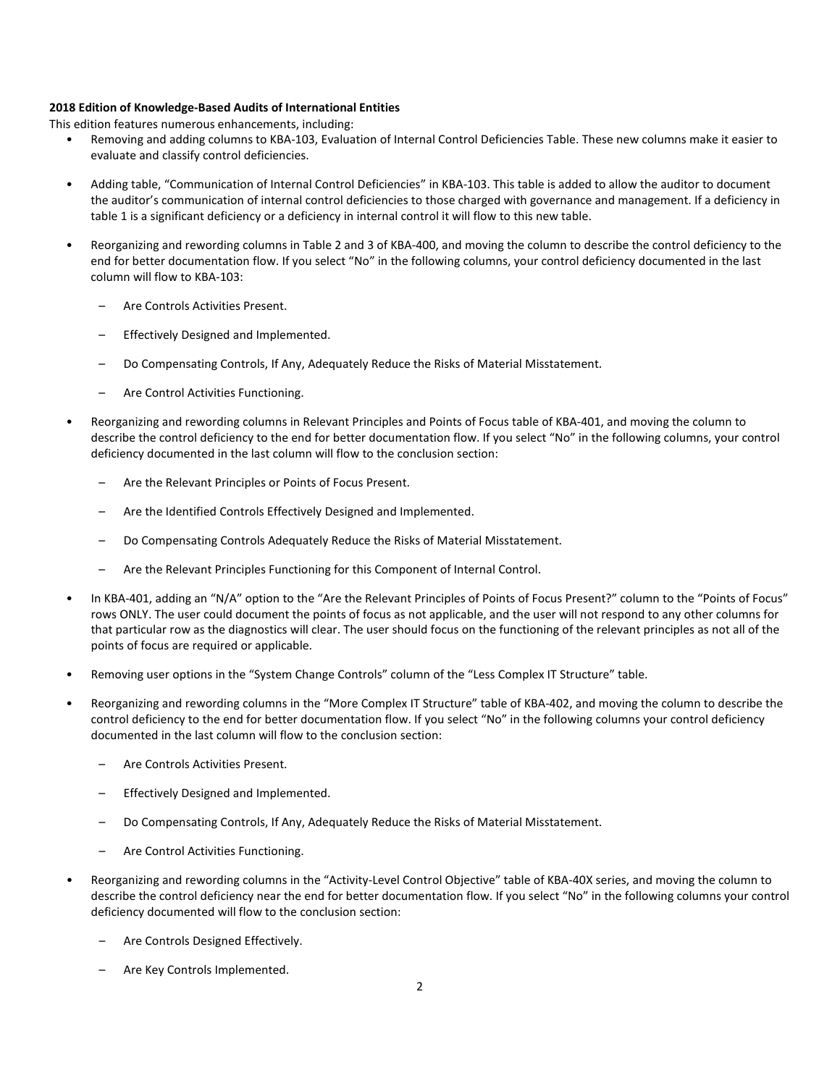#### **2018 Edition of Knowledge-Based Audits of International Entities**

This edition features numerous enhancements, including:

- Removing and adding columns to KBA-103, Evaluation of Internal Control Deficiencies Table. These new columns make it easier to evaluate and classify control deficiencies.
- Adding table, "Communication of Internal Control Deficiencies" in KBA-103. This table is added to allow the auditor to document the auditor's communication of internal control deficiencies to those charged with governance and management. If a deficiency in table 1 is a significant deficiency or a deficiency in internal control it will flow to this new table.
- Reorganizing and rewording columns in Table 2 and 3 of KBA-400, and moving the column to describe the control deficiency to the end for better documentation flow. If you select "No" in the following columns, your control deficiency documented in the last column will flow to KBA-103:
	- Are Controls Activities Present.
	- Effectively Designed and Implemented.
	- Do Compensating Controls, If Any, Adequately Reduce the Risks of Material Misstatement.
	- Are Control Activities Functioning.
- Reorganizing and rewording columns in Relevant Principles and Points of Focus table of KBA-401, and moving the column to describe the control deficiency to the end for better documentation flow. If you select "No" in the following columns, your control deficiency documented in the last column will flow to the conclusion section:
	- Are the Relevant Principles or Points of Focus Present.
	- Are the Identified Controls Effectively Designed and Implemented.
	- Do Compensating Controls Adequately Reduce the Risks of Material Misstatement.
	- Are the Relevant Principles Functioning for this Component of Internal Control.
- In KBA-401, adding an "N/A" option to the "Are the Relevant Principles of Points of Focus Present?" column to the "Points of Focus" rows ONLY. The user could document the points of focus as not applicable, and the user will not respond to any other columns for that particular row as the diagnostics will clear. The user should focus on the functioning of the relevant principles as not all of the points of focus are required or applicable.
- Removing user options in the "System Change Controls" column of the "Less Complex IT Structure" table.
- Reorganizing and rewording columns in the "More Complex IT Structure" table of KBA-402, and moving the column to describe the control deficiency to the end for better documentation flow. If you select "No" in the following columns your control deficiency documented in the last column will flow to the conclusion section:
	- Are Controls Activities Present.
	- Effectively Designed and Implemented.
	- Do Compensating Controls, If Any, Adequately Reduce the Risks of Material Misstatement.
	- Are Control Activities Functioning.
- Reorganizing and rewording columns in the "Activity-Level Control Objective" table of KBA-40X series, and moving the column to describe the control deficiency near the end for better documentation flow. If you select "No" in the following columns your control deficiency documented will flow to the conclusion section:
	- Are Controls Designed Effectively.
	- Are Key Controls Implemented.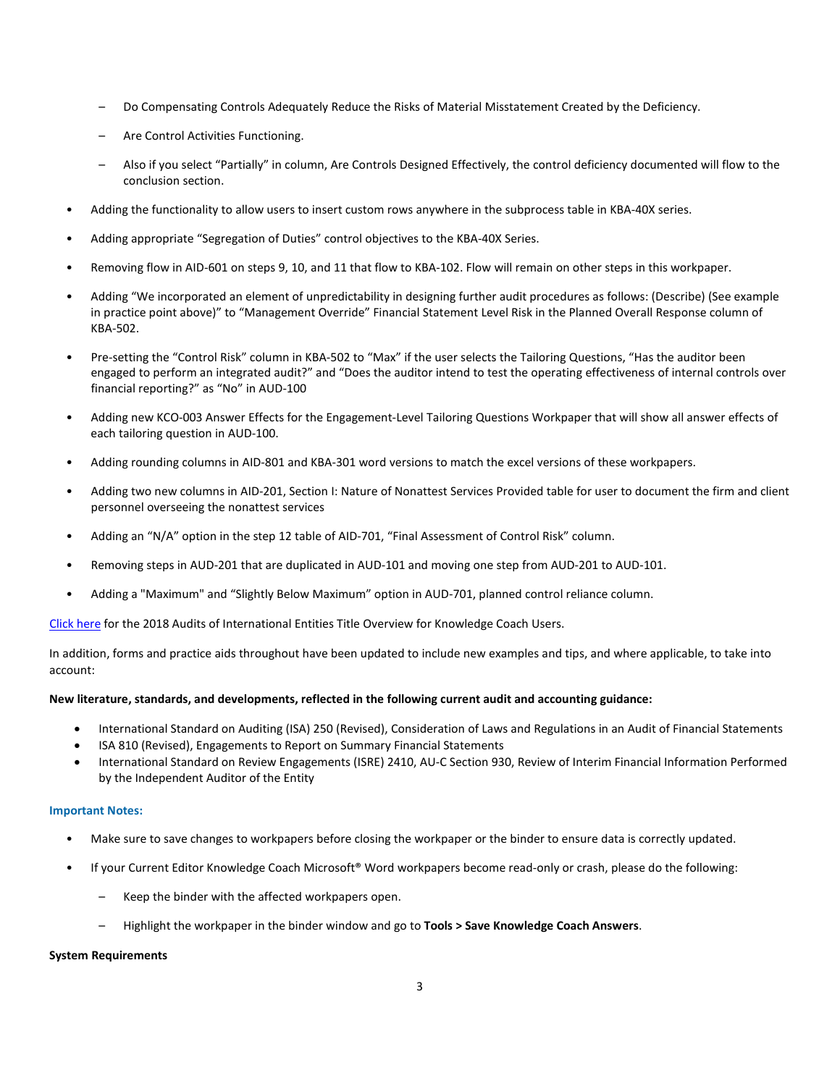- Do Compensating Controls Adequately Reduce the Risks of Material Misstatement Created by the Deficiency.
- Are Control Activities Functioning.
- Also if you select "Partially" in column, Are Controls Designed Effectively, the control deficiency documented will flow to the conclusion section.
- Adding the functionality to allow users to insert custom rows anywhere in the subprocess table in KBA-40X series.
- Adding appropriate "Segregation of Duties" control objectives to the KBA-40X Series.
- Removing flow in AID-601 on steps 9, 10, and 11 that flow to KBA-102. Flow will remain on other steps in this workpaper.
- Adding "We incorporated an element of unpredictability in designing further audit procedures as follows: (Describe) (See example in practice point above)" to "Management Override" Financial Statement Level Risk in the Planned Overall Response column of KBA-502.
- Pre-setting the "Control Risk" column in KBA-502 to "Max" if the user selects the Tailoring Questions, "Has the auditor been engaged to perform an integrated audit?" and "Does the auditor intend to test the operating effectiveness of internal controls over financial reporting?" as "No" in AUD-100
- Adding new KCO-003 Answer Effects for the Engagement-Level Tailoring Questions Workpaper that will show all answer effects of each tailoring question in AUD-100.
- Adding rounding columns in AID-801 and KBA-301 word versions to match the excel versions of these workpapers.
- Adding two new columns in AID-201, Section I: Nature of Nonattest Services Provided table for user to document the firm and client personnel overseeing the nonattest services
- Adding an "N/A" option in the step 12 table of AID-701, "Final Assessment of Control Risk" column.
- Removing steps in AUD-201 that are duplicated in AUD-101 and moving one step from AUD-201 to AUD-101.
- Adding a "Maximum" and "Slightly Below Maximum" option in AUD-701, planned control reliance column.

[Click here](http://support.cch.com/updates/KnowledgeCoach/pdf/guides_tab/2018%20International%20Entities%20Title%20Overview%20for%20Knowledge%20Coach%20Users.pdf) for the 2018 Audits of International Entities Title Overview for Knowledge Coach Users.

In addition, forms and practice aids throughout have been updated to include new examples and tips, and where applicable, to take into account:

## **New literature, standards, and developments, reflected in the following current audit and accounting guidance:**

- International Standard on Auditing (ISA) 250 (Revised), Consideration of Laws and Regulations in an Audit of Financial Statements
- ISA 810 (Revised), Engagements to Report on Summary Financial Statements
- International Standard on Review Engagements (ISRE) 2410, AU-C Section 930, Review of Interim Financial Information Performed by the Independent Auditor of the Entity

## **Important Notes:**

- Make sure to save changes to workpapers before closing the workpaper or the binder to ensure data is correctly updated.
- If your Current Editor Knowledge Coach Microsoft® Word workpapers become read-only or crash, please do the following:
	- Keep the binder with the affected workpapers open.
	- Highlight the workpaper in the binder window and go to **Tools > Save Knowledge Coach Answers**.

## **System Requirements**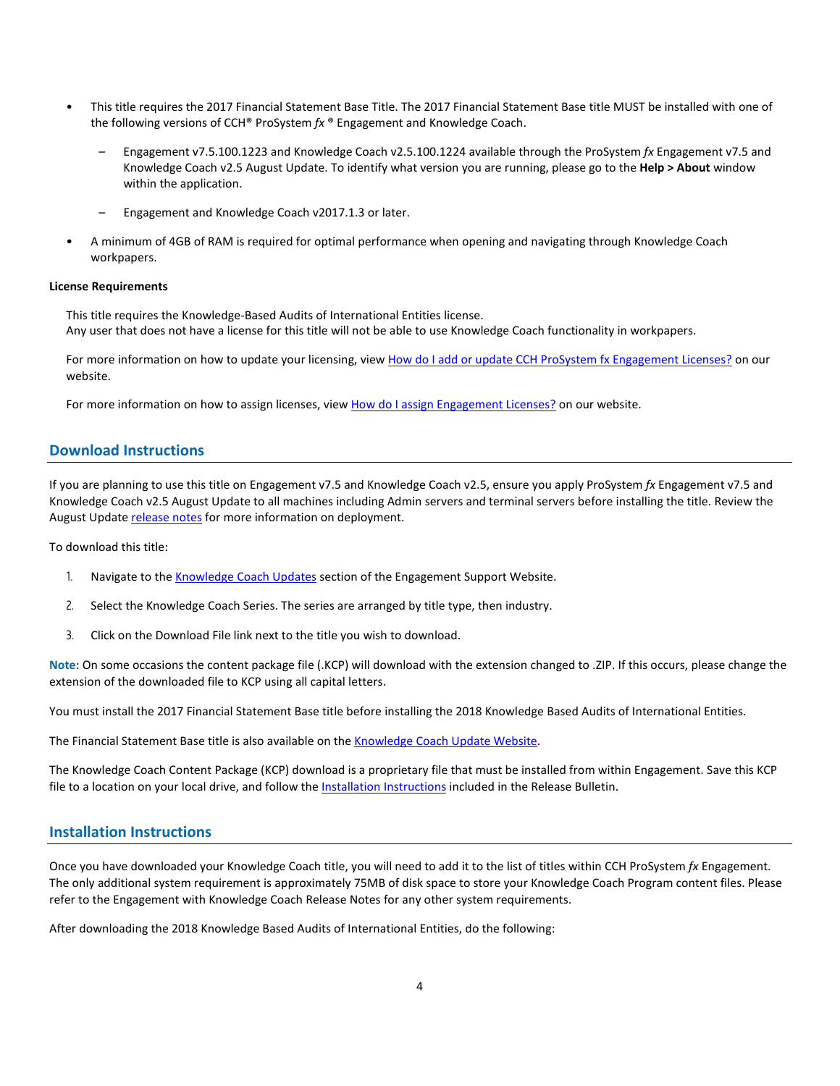- This title requires the 2017 Financial Statement Base Title. The 2017 Financial Statement Base title MUST be installed with one of the following versions of CCH® ProSystem *fx* ® Engagement and Knowledge Coach.
	- Engagement v7.5.100.1223 and Knowledge Coach v2.5.100.1224 available through the ProSystem *fx* Engagement v7.5 and Knowledge Coach v2.5 August Update. To identify what version you are running, please go to the **Help > About** window within the application.
	- Engagement and Knowledge Coach v2017.1.3 or later.
- A minimum of 4GB of RAM is required for optimal performance when opening and navigating through Knowledge Coach workpapers.

#### **License Requirements**

This title requires the Knowledge-Based Audits of International Entities license. Any user that does not have a license for this title will not be able to use Knowledge Coach functionality in workpapers.

For more information on how to update your licensing, view [How do I add or update CCH ProSystem fx Engagement Licenses?](https://support.cch.com/kb/solution.aspx/sw3937) on our website.

For more information on how to assign licenses, view [How do I assign Engagement Licenses?](https://support.cch.com/kb/solution.aspx/sw3943) on our website.

## **Download Instructions**

If you are planning to use this title on Engagement v7.5 and Knowledge Coach v2.5, ensure you apply ProSystem *fx* Engagement v7.5 and Knowledge Coach v2.5 August Update to all machines including Admin servers and terminal servers before installing the title. Review the August Update [release notes](https://support.cch.com/updates/Engagement/patch75/Engagement%20and%20KC%20August%202017%20Update%20Release%20Notes.pdf) for more information on deployment.

To download this title:

- 1. Navigate to the [Knowledge Coach Updates](http://support.cch.com/updates/KnowledgeCoach) section of the Engagement Support Website.
- 2. Select the Knowledge Coach Series. The series are arranged by title type, then industry.
- 3. Click on the Download File link next to the title you wish to download.

**Note**: On some occasions the content package file (.KCP) will download with the extension changed to .ZIP. If this occurs, please change the extension of the downloaded file to KCP using all capital letters.

You must install the 2017 Financial Statement Base title before installing the 2018 Knowledge Based Audits of International Entities.

The Financial Statement Base title is also available on th[e Knowledge Coach Update Website.](http://support.cch.com/updates/KnowledgeCoach)

The Knowledge Coach Content Package (KCP) download is a proprietary file that must be installed from within Engagement. Save this KCP file to a location on your local drive, and follow the Installation Instructions included in the Release Bulletin.

# **Installation Instructions**

Once you have downloaded your Knowledge Coach title, you will need to add it to the list of titles within CCH ProSystem *fx* Engagement. The only additional system requirement is approximately 75MB of disk space to store your Knowledge Coach Program content files. Please refer to the Engagement with Knowledge Coach Release Notes for any other system requirements.

After downloading the 2018 Knowledge Based Audits of International Entities, do the following: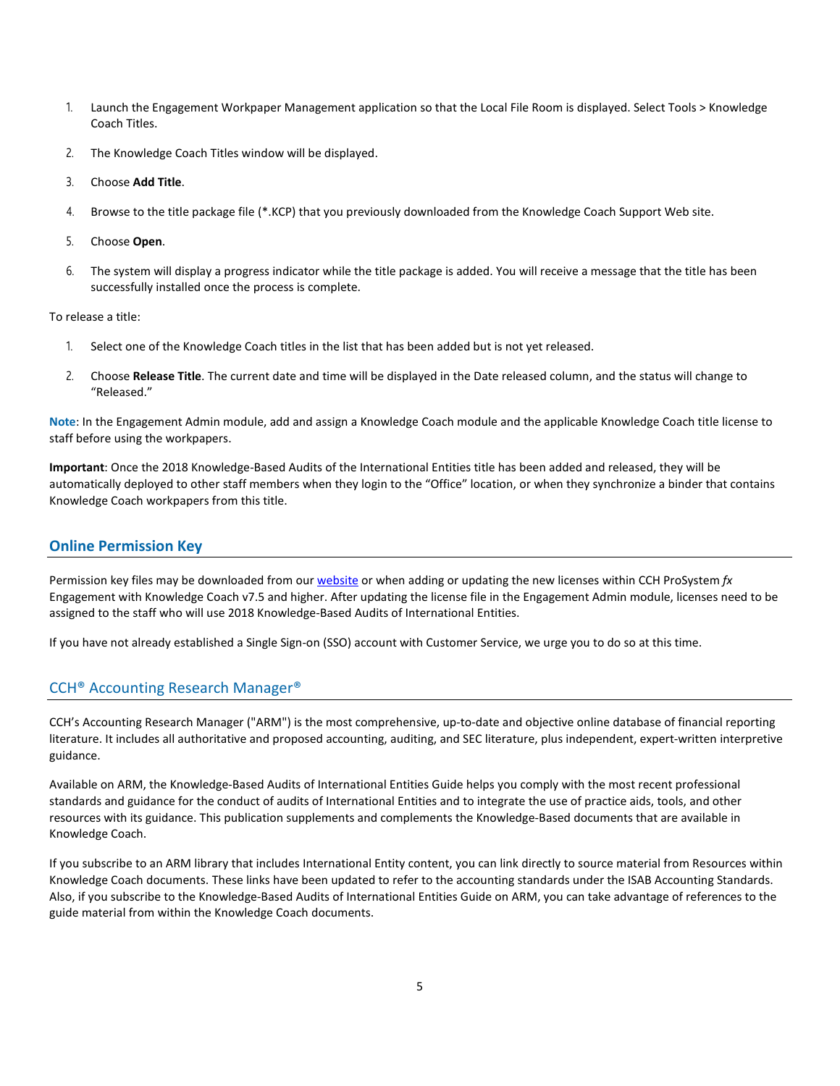- 1. Launch the Engagement Workpaper Management application so that the Local File Room is displayed. Select Tools > Knowledge Coach Titles.
- 2. The Knowledge Coach Titles window will be displayed.
- 3. Choose **Add Title**.
- 4. Browse to the title package file (\*.KCP) that you previously downloaded from the Knowledge Coach Support Web site.
- 5. Choose **Open**.
- 6. The system will display a progress indicator while the title package is added. You will receive a message that the title has been successfully installed once the process is complete.

To release a title:

- 1. Select one of the Knowledge Coach titles in the list that has been added but is not yet released.
- 2. Choose **Release Title**. The current date and time will be displayed in the Date released column, and the status will change to "Released."

**Note**: In the Engagement Admin module, add and assign a Knowledge Coach module and the applicable Knowledge Coach title license to staff before using the workpapers.

**Important**: Once the 2018 Knowledge-Based Audits of the International Entities title has been added and released, they will be automatically deployed to other staff members when they login to the "Office" location, or when they synchronize a binder that contains Knowledge Coach workpapers from this title.

# **Online Permission Key**

Permission key files may be downloaded from ou[r website](https://prosystemfxsupport.tax.cchgroup.com/permkey/download.aspx) or when adding or updating the new licenses within CCH ProSystem *fx* Engagement with Knowledge Coach v7.5 and higher. After updating the license file in the Engagement Admin module, licenses need to be assigned to the staff who will use 2018 Knowledge-Based Audits of International Entities.

If you have not already established a Single Sign-on (SSO) account with Customer Service, we urge you to do so at this time.

## CCH® Accounting Research Manager®

CCH's Accounting Research Manager ("ARM") is the most comprehensive, up-to-date and objective online database of financial reporting literature. It includes all authoritative and proposed accounting, auditing, and SEC literature, plus independent, expert-written interpretive guidance.

Available on ARM, the Knowledge-Based Audits of International Entities Guide helps you comply with the most recent professional standards and guidance for the conduct of audits of International Entities and to integrate the use of practice aids, tools, and other resources with its guidance. This publication supplements and complements the Knowledge-Based documents that are available in Knowledge Coach.

If you subscribe to an ARM library that includes International Entity content, you can link directly to source material from Resources within Knowledge Coach documents. These links have been updated to refer to the accounting standards under the ISAB Accounting Standards. Also, if you subscribe to the Knowledge-Based Audits of International Entities Guide on ARM, you can take advantage of references to the guide material from within the Knowledge Coach documents.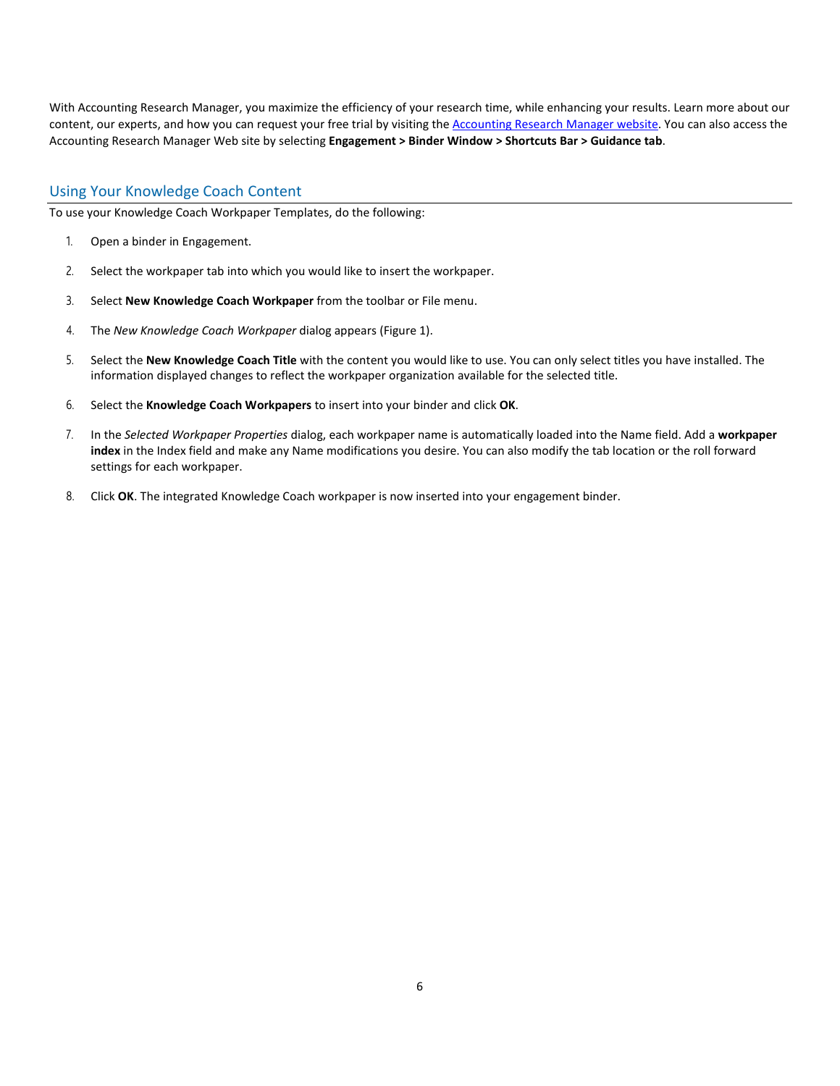With Accounting Research Manager, you maximize the efficiency of your research time, while enhancing your results. Learn more about our content, our experts, and how you can request your free trial by visiting the [Accounting Research Manager website.](http://www.accountingresearchmanager.com/) You can also access the Accounting Research Manager Web site by selecting **Engagement > Binder Window > Shortcuts Bar > Guidance tab**.

# Using Your Knowledge Coach Content

To use your Knowledge Coach Workpaper Templates, do the following:

- 1. Open a binder in Engagement.
- 2. Select the workpaper tab into which you would like to insert the workpaper.
- 3. Select **New Knowledge Coach Workpaper** from the toolbar or File menu.
- 4. The *New Knowledge Coach Workpaper* dialog appears (Figure 1).
- 5. Select the **New Knowledge Coach Title** with the content you would like to use. You can only select titles you have installed. The information displayed changes to reflect the workpaper organization available for the selected title.
- 6. Select the **Knowledge Coach Workpapers** to insert into your binder and click **OK**.
- 7. In the *Selected Workpaper Properties* dialog, each workpaper name is automatically loaded into the Name field. Add a **workpaper index** in the Index field and make any Name modifications you desire. You can also modify the tab location or the roll forward settings for each workpaper.
- 8. Click **OK**. The integrated Knowledge Coach workpaper is now inserted into your engagement binder.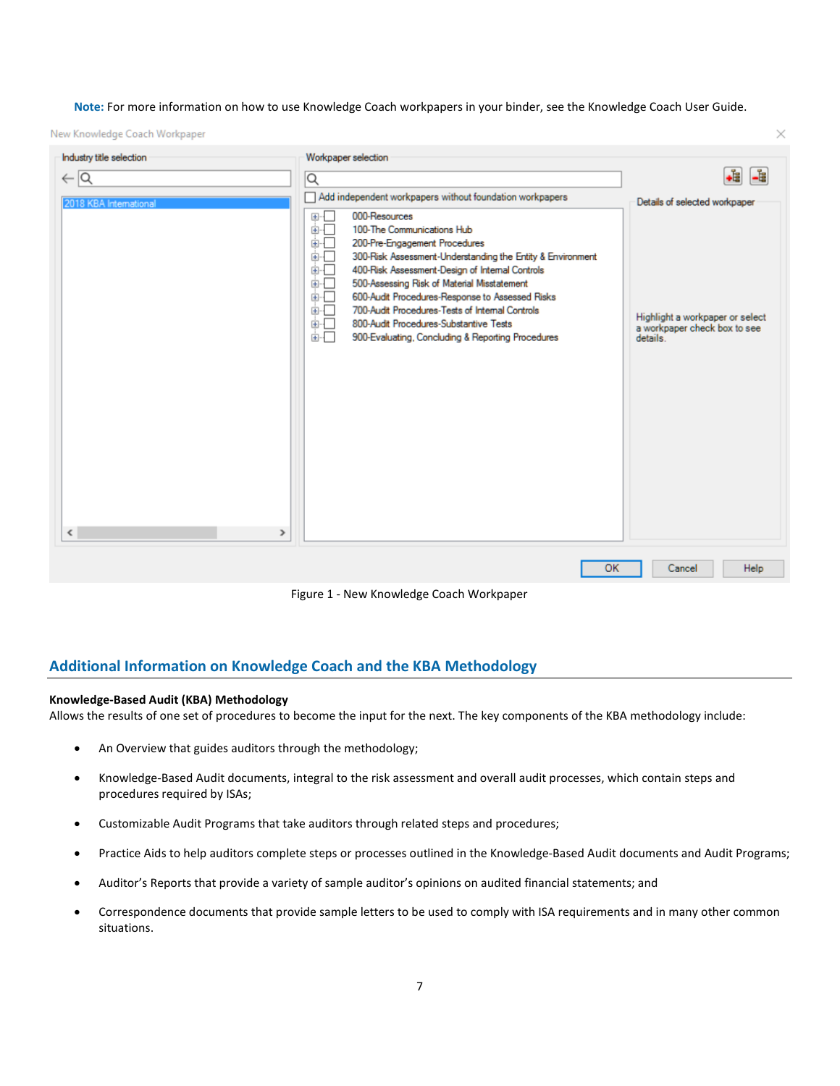**Note:** For more information on how to use Knowledge Coach workpapers in your binder, see the Knowledge Coach User Guide.

 $\times$ 

New Knowledge Coach Workpaper

| Industry title selection                  | Workpaper selection                                                                                                                                                                                                                                                                                                                                                                                                                                                                                                    |                                                                             |
|-------------------------------------------|------------------------------------------------------------------------------------------------------------------------------------------------------------------------------------------------------------------------------------------------------------------------------------------------------------------------------------------------------------------------------------------------------------------------------------------------------------------------------------------------------------------------|-----------------------------------------------------------------------------|
| $\leftarrow$ $\alpha$                     | $\alpha$                                                                                                                                                                                                                                                                                                                                                                                                                                                                                                               | -8<br>∔å                                                                    |
| 2018 KBA International                    | Add independent workpapers without foundation workpapers                                                                                                                                                                                                                                                                                                                                                                                                                                                               | Details of selected workpaper                                               |
|                                           | 000-Resources<br>E<br>100-The Communications Hub<br>面板<br>200-Pre-Engagement Procedures<br>⊞…[<br>300-Risk Assessment-Understanding the Entity & Environment<br>⊕…⊡<br>க்⊹Г<br>400-Risk Assessment-Design of Internal Controls<br>面板<br>500-Assessing Risk of Material Misstatement<br>ச்⊹⊡<br>600-Audit Procedures-Response to Assessed Risks<br>700-Audit Procedures-Tests of Internal Controls<br>க்⊹⊡<br>⊕-⊡<br>800-Audit Procedures-Substantive Tests<br>⊕⊹⊟<br>900-Evaluating, Concluding & Reporting Procedures | Highlight a workpaper or select<br>a workpaper check box to see<br>details. |
| $\overline{\phantom{a}}$<br>$\rightarrow$ |                                                                                                                                                                                                                                                                                                                                                                                                                                                                                                                        |                                                                             |
|                                           | ОК                                                                                                                                                                                                                                                                                                                                                                                                                                                                                                                     | Help<br>Cancel                                                              |

Figure 1 - New Knowledge Coach Workpaper

# **Additional Information on Knowledge Coach and the KBA Methodology**

## **Knowledge-Based Audit (KBA) Methodology**

Allows the results of one set of procedures to become the input for the next. The key components of the KBA methodology include:

- An Overview that guides auditors through the methodology;
- Knowledge-Based Audit documents, integral to the risk assessment and overall audit processes, which contain steps and procedures required by ISAs;
- Customizable Audit Programs that take auditors through related steps and procedures;
- Practice Aids to help auditors complete steps or processes outlined in the Knowledge-Based Audit documents and Audit Programs;
- Auditor's Reports that provide a variety of sample auditor's opinions on audited financial statements; and
- Correspondence documents that provide sample letters to be used to comply with ISA requirements and in many other common situations.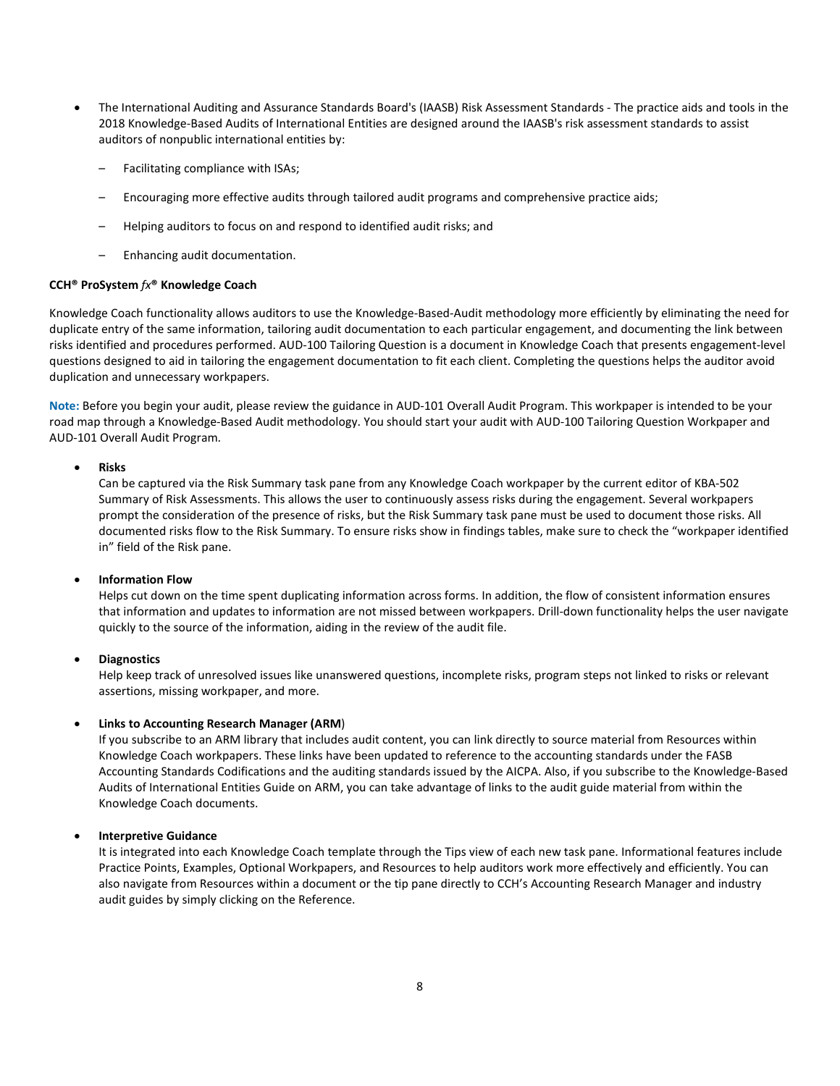- The International Auditing and Assurance Standards Board's (IAASB) Risk Assessment Standards The practice aids and tools in the 2018 Knowledge-Based Audits of International Entities are designed around the IAASB's risk assessment standards to assist auditors of nonpublic international entities by:
	- Facilitating compliance with ISAs;
	- Encouraging more effective audits through tailored audit programs and comprehensive practice aids;
	- Helping auditors to focus on and respond to identified audit risks; and
	- Enhancing audit documentation.

#### **CCH® ProSystem** *fx***® Knowledge Coach**

Knowledge Coach functionality allows auditors to use the Knowledge-Based-Audit methodology more efficiently by eliminating the need for duplicate entry of the same information, tailoring audit documentation to each particular engagement, and documenting the link between risks identified and procedures performed. AUD-100 Tailoring Question is a document in Knowledge Coach that presents engagement-level questions designed to aid in tailoring the engagement documentation to fit each client. Completing the questions helps the auditor avoid duplication and unnecessary workpapers.

**Note:** Before you begin your audit, please review the guidance in AUD-101 Overall Audit Program. This workpaper is intended to be your road map through a Knowledge-Based Audit methodology. You should start your audit with AUD-100 Tailoring Question Workpaper and AUD-101 Overall Audit Program.

#### • **Risks**

Can be captured via the Risk Summary task pane from any Knowledge Coach workpaper by the current editor of KBA-502 Summary of Risk Assessments. This allows the user to continuously assess risks during the engagement. Several workpapers prompt the consideration of the presence of risks, but the Risk Summary task pane must be used to document those risks. All documented risks flow to the Risk Summary. To ensure risks show in findings tables, make sure to check the "workpaper identified in" field of the Risk pane.

#### • **Information Flow**

Helps cut down on the time spent duplicating information across forms. In addition, the flow of consistent information ensures that information and updates to information are not missed between workpapers. Drill-down functionality helps the user navigate quickly to the source of the information, aiding in the review of the audit file.

#### • **Diagnostics**

Help keep track of unresolved issues like unanswered questions, incomplete risks, program steps not linked to risks or relevant assertions, missing workpaper, and more.

## • **Links to Accounting Research Manager (ARM**)

If you subscribe to an ARM library that includes audit content, you can link directly to source material from Resources within Knowledge Coach workpapers. These links have been updated to reference to the accounting standards under the FASB Accounting Standards Codifications and the auditing standards issued by the AICPA. Also, if you subscribe to the Knowledge-Based Audits of International Entities Guide on ARM, you can take advantage of links to the audit guide material from within the Knowledge Coach documents.

## • **Interpretive Guidance**

It is integrated into each Knowledge Coach template through the Tips view of each new task pane. Informational features include Practice Points, Examples, Optional Workpapers, and Resources to help auditors work more effectively and efficiently. You can also navigate from Resources within a document or the tip pane directly to CCH's Accounting Research Manager and industry audit guides by simply clicking on the Reference.